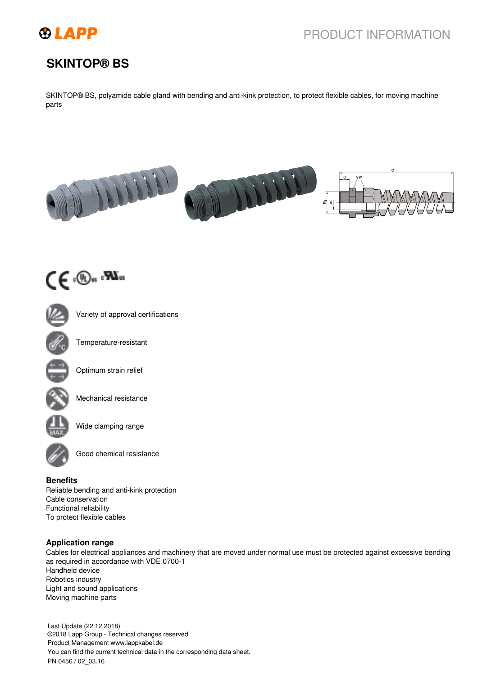

# PRODUCT INFORMATION

## **SKINTOP® BS**

SKINTOP® BS, polyamide cable gland with bending and anti-kink protection, to protect flexible cables, for moving machine parts





Variety of approval certifications



Temperature-resistant



Optimum strain relief



Mechanical resistance



Wide clamping range



Good chemical resistance

### **Benefits**

Reliable bending and anti-kink protection Cable conservation Functional reliability To protect flexible cables

### **Application range**

Cables for electrical appliances and machinery that are moved under normal use must be protected against excessive bending as required in accordance with VDE 0700-1 Handheld device Robotics industry Light and sound applications Moving machine parts

Last Update (22.12.2018) ©2018 Lapp Group - Technical changes reserved Product Management www.lappkabel.de You can find the current technical data in the corresponding data sheet. PN 0456 / 02\_03.16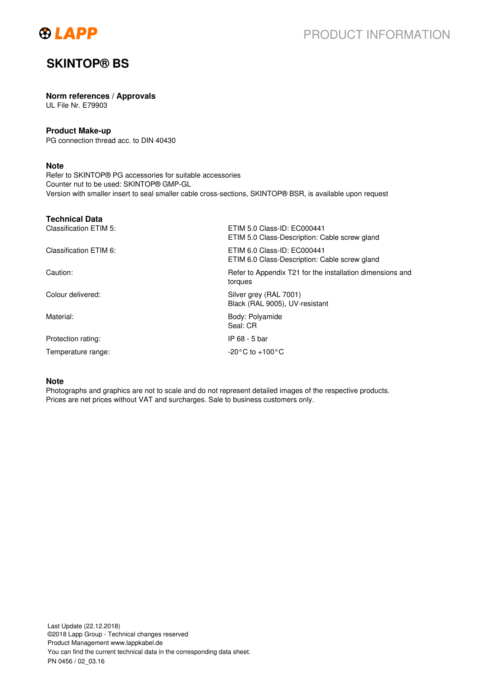

## **SKINTOP® BS**

#### **Norm references / Approvals**

UL File Nr. E79903

### **Product Make-up**

PG connection thread acc. to DIN 40430

### **Note**

Refer to SKINTOP® PG accessories for suitable accessories Counter nut to be used: SKINTOP® GMP-GL Version with smaller insert to seal smaller cable cross-sections, SKINTOP® BSR, is available upon request

| <b>Technical Data</b>  |                                                                              |
|------------------------|------------------------------------------------------------------------------|
| Classification ETIM 5: | ETIM 5.0 Class-ID: EC000441<br>ETIM 5.0 Class-Description: Cable screw gland |
| Classification ETIM 6: | ETIM 6.0 Class-ID: EC000441<br>ETIM 6.0 Class-Description: Cable screw gland |
| Caution:               | Refer to Appendix T21 for the installation dimensions and<br>torques         |
| Colour delivered:      | Silver grey (RAL 7001)<br>Black (RAL 9005), UV-resistant                     |
| Material:              | Body: Polyamide<br>Seal: CR                                                  |
| Protection rating:     | IP 68 - 5 bar                                                                |
| Temperature range:     | $-20\degree$ C to $+100\degree$ C                                            |

#### **Note**

Photographs and graphics are not to scale and do not represent detailed images of the respective products. Prices are net prices without VAT and surcharges. Sale to business customers only.